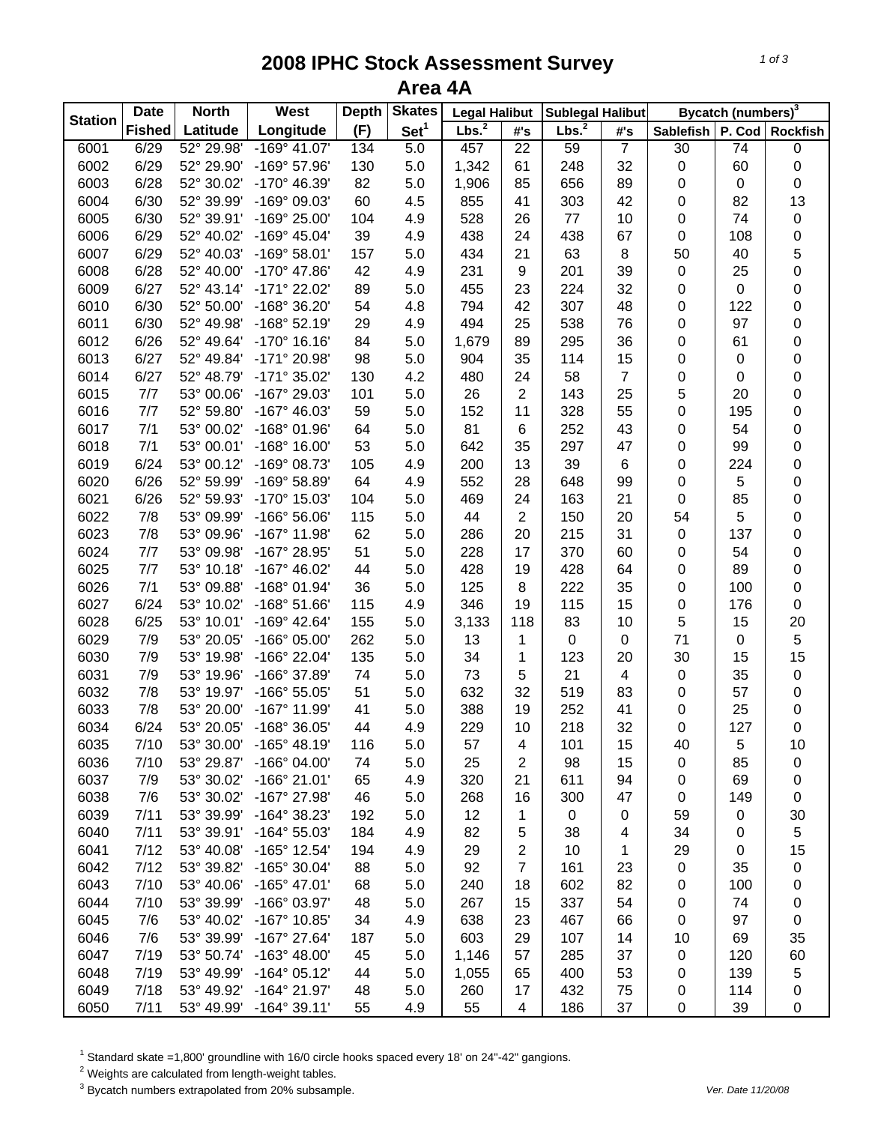## **2008 IPHC Stock Assessment Survey Area 4A**

|                | <b>Date</b>   | <b>North</b> | West                  | <b>Depth</b> | <b>Skates</b>    | <b>Legal Halibut</b> |                 | <b>Sublegal Halibut</b> |                |                  | Bycatch (numbers) <sup>3</sup> |                 |
|----------------|---------------|--------------|-----------------------|--------------|------------------|----------------------|-----------------|-------------------------|----------------|------------------|--------------------------------|-----------------|
| <b>Station</b> | <b>Fished</b> | Latitude     | Longitude             | (F)          | Set <sup>1</sup> | Lbs. <sup>2</sup>    | #'s             | Lbs. <sup>2</sup>       | #'s            | <b>Sablefish</b> | P. Cod                         | <b>Rockfish</b> |
| 6001           | 6/29          | 52° 29.98'   | $-169°$ 41.07'        | 134          | 5.0              | 457                  | $\overline{22}$ | 59                      | $\overline{7}$ | 30               | $\overline{74}$                | $\pmb{0}$       |
| 6002           | 6/29          | 52° 29.90'   | -169° 57.96'          | 130          | 5.0              | 1,342                | 61              | 248                     | 32             | $\pmb{0}$        | 60                             | $\mathsf 0$     |
| 6003           | 6/28          | 52° 30.02'   | -170° 46.39'          | 82           | 5.0              | 1,906                | 85              | 656                     | 89             | 0                | 0                              | $\mathbf 0$     |
| 6004           | 6/30          | 52° 39.99'   | -169° 09.03'          | 60           | 4.5              | 855                  | 41              | 303                     | 42             | $\pmb{0}$        | 82                             | 13              |
| 6005           | 6/30          | 52° 39.91'   | -169° 25.00'          | 104          | 4.9              | 528                  | 26              | $77 \,$                 | 10             | $\pmb{0}$        | 74                             | $\pmb{0}$       |
| 6006           | 6/29          | 52° 40.02'   | $-169^{\circ}$ 45.04' | 39           | 4.9              | 438                  | 24              | 438                     | 67             | $\mathbf 0$      | 108                            | $\mathbf 0$     |
| 6007           | 6/29          | 52° 40.03'   | $-169°58.01'$         | 157          | 5.0              | 434                  | 21              | 63                      | $\,8\,$        | 50               | 40                             | 5               |
| 6008           | 6/28          | 52° 40.00'   | -170° 47.86'          | 42           | 4.9              | 231                  | 9               | 201                     | 39             | $\pmb{0}$        | 25                             | $\mathbf 0$     |
| 6009           | 6/27          | 52° 43.14'   | -171° 22.02'          | 89           | 5.0              | 455                  | 23              | 224                     | 32             | 0                | 0                              | $\mathbf 0$     |
| 6010           | 6/30          | 52° 50.00'   | -168° 36.20'          | 54           | 4.8              | 794                  | 42              | 307                     | 48             | 0                | 122                            | $\mathbf 0$     |
| 6011           | 6/30          | 52° 49.98'   | $-168°52.19'$         | 29           | 4.9              | 494                  | 25              | 538                     | 76             | $\mathbf 0$      | 97                             | $\mathbf 0$     |
| 6012           | 6/26          | 52° 49.64'   | $-170^{\circ}$ 16.16' | 84           | 5.0              | 1,679                | 89              | 295                     | 36             | $\mathbf 0$      | 61                             | $\mathbf 0$     |
| 6013           | 6/27          | 52° 49.84'   | -171° 20.98'          | 98           | 5.0              | 904                  | 35              | 114                     | 15             | 0                | 0                              | $\mathbf 0$     |
| 6014           | 6/27          | 52° 48.79'   | $-171°35.02'$         | 130          | 4.2              | 480                  | 24              | 58                      | $\overline{7}$ | 0                | 0                              | $\mathbf 0$     |
| 6015           | 7/7           | 53° 00.06'   | -167° 29.03'          | 101          | 5.0              | 26                   | $\overline{2}$  | 143                     | 25             | 5                | 20                             | 0               |
| 6016           | 7/7           | 52° 59.80'   | $-167^{\circ}$ 46.03' | 59           | 5.0              | 152                  | 11              | 328                     | 55             | $\mathbf 0$      | 195                            | 0               |
| 6017           | 7/1           | 53° 00.02'   | -168° 01.96'          | 64           | $5.0\,$          | 81                   | 6               | 252                     | 43             | 0                | 54                             | 0               |
| 6018           | 7/1           | 53° 00.01'   | $-168^\circ$ 16.00'   | 53           | 5.0              | 642                  | 35              | 297                     | 47             | 0                | 99                             | $\mathbf 0$     |
| 6019           | 6/24          | 53° 00.12'   | -169° 08.73'          | 105          | 4.9              | 200                  | 13              | 39                      | $\,6$          | 0                | 224                            | $\mathbf 0$     |
| 6020           | 6/26          | 52° 59.99'   | $-169°58.89'$         | 64           | 4.9              | 552                  | 28              | 648                     | 99             | $\mathbf 0$      | 5                              | $\mathbf 0$     |
| 6021           | 6/26          | 52° 59.93'   | -170° 15.03'          | 104          | 5.0              | 469                  | 24              | 163                     | 21             | $\pmb{0}$        | 85                             | $\mathbf 0$     |
| 6022           | 7/8           | 53° 09.99'   | -166° 56.06'          | 115          | 5.0              | 44                   | $\overline{2}$  | 150                     | 20             | 54               | 5                              | $\mathbf 0$     |
| 6023           | 7/8           | 53° 09.96'   | -167° 11.98'          | 62           | 5.0              | 286                  | 20              | 215                     | 31             | $\pmb{0}$        | 137                            | $\mathbf 0$     |
| 6024           | 7/7           | 53° 09.98'   | -167° 28.95'          | 51           | 5.0              | 228                  | 17              | 370                     | 60             | 0                | 54                             | $\mathbf 0$     |
| 6025           | 7/7           | 53° 10.18'   | $-167^{\circ}$ 46.02' | 44           | 5.0              | 428                  | 19              | 428                     | 64             | $\mathbf 0$      | 89                             | $\mathbf 0$     |
| 6026           | 7/1           | 53° 09.88'   | -168° 01.94'          | 36           | 5.0              | 125                  | 8               | 222                     | 35             | $\mathbf 0$      | 100                            | $\mathbf 0$     |
| 6027           | 6/24          | 53° 10.02'   | $-168°51.66'$         | 115          | 4.9              | 346                  | 19              | 115                     | 15             | 0                | 176                            | $\pmb{0}$       |
| 6028           | 6/25          | 53° 10.01'   | -169° 42.64'          | 155          | 5.0              | 3,133                | 118             | 83                      | 10             | $\sqrt{5}$       | 15                             | 20              |
| 6029           | 7/9           | 53° 20.05'   | -166° 05.00'          | 262          | 5.0              | 13                   | 1               | $\pmb{0}$               | $\pmb{0}$      | 71               | 0                              | $\,$ 5 $\,$     |
| 6030           | 7/9           | 53° 19.98'   | -166° 22.04'          | 135          | 5.0              | 34                   | 1               | 123                     | 20             | 30               | 15                             | 15              |
| 6031           | 7/9           | 53° 19.96'   | -166° 37.89'          | 74           | 5.0              | 73                   | 5               | 21                      | 4              | $\pmb{0}$        | 35                             | $\pmb{0}$       |
| 6032           | 7/8           | 53° 19.97'   | -166° 55.05'          | 51           | 5.0              | 632                  | 32              | 519                     | 83             | 0                | 57                             | $\pmb{0}$       |
| 6033           | 7/8           | 53° 20.00'   | -167° 11.99'          | 41           | $5.0\,$          | 388                  | 19              | 252                     | 41             | $\mathbf 0$      | 25                             | $\pmb{0}$       |
| 6034           | 6/24          | 53° 20.05'   | -168° 36.05'          | 44           | 4.9              | 229                  | 10              | 218                     | 32             | $\boldsymbol{0}$ | 127                            | $\mathbf 0$     |
| 6035           | 7/10          | 53° 30.00'   | $-165^{\circ}$ 48.19' | 116          | 5.0              | 57                   | 4               | 101                     | 15             | 40               | 5                              | 10              |
| 6036           | 7/10          | 53° 29.87'   | $-166^{\circ}$ 04.00' | 74           | 5.0              | 25                   | $\overline{2}$  | 98                      | 15             | 0                | 85                             | $\pmb{0}$       |
| 6037           | 7/9           | 53° 30.02'   | $-166°$ 21.01'        | 65           | 4.9              | 320                  | 21              | 611                     | 94             | 0                | 69                             | $\pmb{0}$       |
| 6038           | 7/6           | 53° 30.02'   | -167° 27.98'          | 46           | $5.0\,$          | 268                  | 16              | 300                     | 47             | $\pmb{0}$        | 149                            | $\,0\,$         |
| 6039           | 7/11          | 53° 39.99'   | -164° 38.23'          | 192          | 5.0              | 12                   | $\mathbf 1$     | $\mathbf 0$             | 0              | 59               | 0                              | 30              |
| 6040           | 7/11          | 53° 39.91'   | $-164^{\circ} 55.03'$ | 184          | 4.9              | 82                   | 5               | 38                      | 4              | 34               | 0                              | 5               |
| 6041           | 7/12          | 53° 40.08'   | -165° 12.54'          | 194          | 4.9              | 29                   | $\mathbf{2}$    | 10                      | 1              | 29               | 0                              | 15              |
| 6042           | 7/12          | 53° 39.82'   | -165° 30.04'          | 88           | 5.0              | 92                   | $\overline{7}$  | 161                     | 23             | $\pmb{0}$        | 35                             | $\pmb{0}$       |
| 6043           | 7/10          | 53° 40.06'   | -165° 47.01'          | 68           | 5.0              | 240                  | 18              | 602                     | 82             | 0                | 100                            | 0               |
| 6044           | 7/10          | 53° 39.99'   | -166° 03.97'          | 48           | 5.0              | 267                  | 15              | 337                     | 54             | 0                | 74                             | 0               |
| 6045           | 7/6           | 53° 40.02'   | -167° 10.85'          | 34           | 4.9              | 638                  | 23              | 467                     | 66             | $\pmb{0}$        | 97                             | $\pmb{0}$       |
| 6046           | 7/6           | 53° 39.99'   | -167° 27.64'          | 187          | 5.0              | 603                  | 29              | 107                     | 14             | 10               | 69                             | 35              |
| 6047           | 7/19          | 53° 50.74'   | $-163^{\circ}$ 48.00' | 45           | 5.0              | 1,146                | 57              | 285                     | 37             | $\pmb{0}$        | 120                            | 60              |
| 6048           | 7/19          | 53° 49.99'   | $-164^{\circ}$ 05.12' | 44           | 5.0              | 1,055                | 65              | 400                     | 53             | 0                | 139                            | 5               |
| 6049           | 7/18          | 53° 49.92'   | -164° 21.97'          | 48           | 5.0              | 260                  | 17              | 432                     | 75             | 0                | 114                            | 0               |
| 6050           | 7/11          | 53° 49.99'   | $-164^{\circ}$ 39.11' | 55           | 4.9              | 55                   | $\overline{4}$  | 186                     | 37             | $\pmb{0}$        | 39                             | $\pmb{0}$       |

<sup>1</sup> Standard skate =1,800' groundline with 16/0 circle hooks spaced every 18' on 24"-42" gangions.<br><sup>2</sup> Weights are calculated from length-weight tables.<br><sup>3</sup> Bycatch numbers extrapolated from 20% subsample.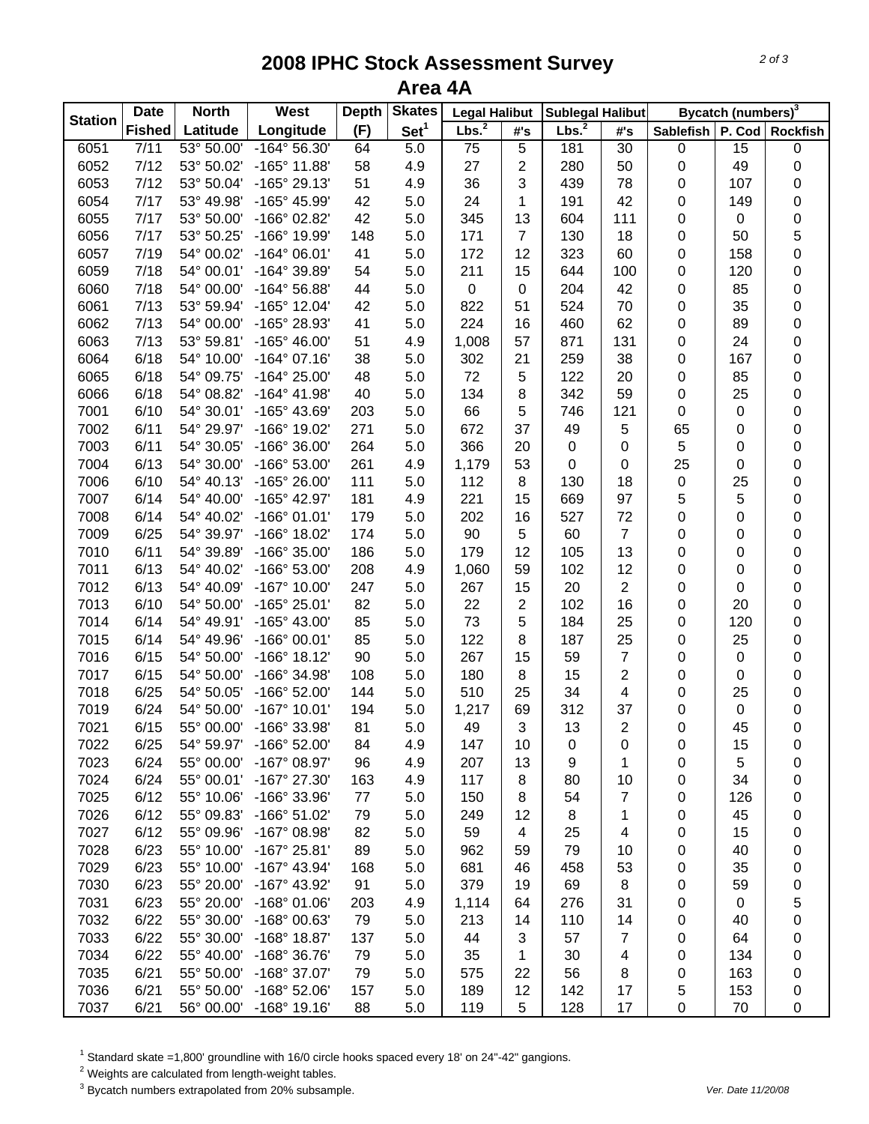## **2008 IPHC Stock Assessment Survey Area 4A**

| <b>Station</b> | <b>Date</b>   | <b>North</b> | West                  | <b>Depth</b> | <b>Skates</b>    | <b>Legal Halibut</b> |                          | <b>Sublegal Halibut</b> |                 |                  | Bycatch (numbers) <sup>3</sup> |                 |
|----------------|---------------|--------------|-----------------------|--------------|------------------|----------------------|--------------------------|-------------------------|-----------------|------------------|--------------------------------|-----------------|
|                | <b>Fished</b> | Latitude     | Longitude             | (F)          | Set <sup>1</sup> | Lbs. <sup>2</sup>    | #'s                      | Lbs. <sup>2</sup>       | #'s             | <b>Sablefish</b> | P. Cod                         | <b>Rockfish</b> |
| 6051           | 7/11          | 53° 50.00'   | -164° 56.30'          | 64           | 5.0              | $\overline{75}$      | $\overline{5}$           | 181                     | $\overline{30}$ | $\pmb{0}$        | $\overline{15}$                | $\pmb{0}$       |
| 6052           | 7/12          | 53° 50.02'   | -165° 11.88'          | 58           | 4.9              | 27                   | $\overline{c}$           | 280                     | 50              | 0                | 49                             | $\mathbf 0$     |
| 6053           | 7/12          | 53° 50.04'   | -165° 29.13'          | 51           | 4.9              | 36                   | 3                        | 439                     | 78              | 0                | 107                            | 0               |
| 6054           | 7/17          | 53° 49.98'   | -165° 45.99'          | 42           | 5.0              | 24                   | 1                        | 191                     | 42              | 0                | 149                            | $\mathbf 0$     |
| 6055           | 7/17          | 53° 50.00'   | -166° 02.82'          | 42           | 5.0              | 345                  | 13                       | 604                     | 111             | 0                | 0                              | $\mathbf 0$     |
| 6056           | 7/17          | 53° 50.25'   | -166° 19.99'          | 148          | 5.0              | 171                  | $\overline{7}$           | 130                     | 18              | 0                | 50                             | 5               |
| 6057           | 7/19          | 54° 00.02'   | $-164^{\circ}$ 06.01' | 41           | 5.0              | 172                  | 12                       | 323                     | 60              | 0                | 158                            | $\mathsf 0$     |
| 6059           | 7/18          | 54° 00.01'   | -164° 39.89'          | 54           | 5.0              | 211                  | 15                       | 644                     | 100             | 0                | 120                            | $\mathbf 0$     |
| 6060           | 7/18          | 54° 00.00'   | -164° 56.88'          | 44           | 5.0              | $\pmb{0}$            | $\pmb{0}$                | 204                     | 42              | 0                | 85                             | $\mathbf 0$     |
| 6061           | 7/13          | 53° 59.94'   | -165° 12.04'          | 42           | 5.0              | 822                  | 51                       | 524                     | 70              | 0                | 35                             | $\mathbf 0$     |
| 6062           | 7/13          | 54° 00.00'   | -165° 28.93'          | 41           | 5.0              | 224                  | 16                       | 460                     | 62              | 0                | 89                             | $\mathbf 0$     |
| 6063           | 7/13          | 53° 59.81'   | $-165^{\circ}$ 46.00' | 51           | 4.9              | 1,008                | 57                       | 871                     | 131             | 0                | 24                             | $\pmb{0}$       |
| 6064           | 6/18          | 54° 10.00'   | $-164^{\circ}$ 07.16' | 38           | 5.0              | 302                  | 21                       | 259                     | 38              | 0                | 167                            | $\mathbf 0$     |
| 6065           | 6/18          | 54° 09.75'   | $-164^{\circ} 25.00'$ | 48           | 5.0              | 72                   | 5                        | 122                     | 20              | 0                | 85                             | $\mathbf 0$     |
| 6066           | 6/18          | 54° 08.82'   | $-164^{\circ}$ 41.98' | 40           | 5.0              | 134                  | 8                        | 342                     | 59              | 0                | 25                             | $\mathbf 0$     |
| 7001           | 6/10          | 54° 30.01'   | -165° 43.69'          | 203          | 5.0              | 66                   | 5                        | 746                     | 121             | $\mathbf 0$      | 0                              | $\mathbf 0$     |
| 7002           | 6/11          | 54° 29.97'   | -166° 19.02'          | 271          | 5.0              | 672                  | 37                       | 49                      | 5               | 65               | 0                              | 0               |
| 7003           | 6/11          | 54° 30.05'   | -166° 36.00'          | 264          | 5.0              | 366                  | 20                       | 0                       | 0               | 5                | 0                              | 0               |
| 7004           | 6/13          | 54° 30.00'   | -166° 53.00'          | 261          | 4.9              | 1,179                | 53                       | 0                       | 0               | 25               | 0                              | 0               |
| 7006           | 6/10          | 54° 40.13'   | $-165^{\circ} 26.00'$ | 111          | 5.0              | 112                  | 8                        | 130                     | 18              | $\pmb{0}$        | 25                             | $\mathbf 0$     |
| 7007           | 6/14          | 54° 40.00'   | -165° 42.97'          | 181          | 4.9              | 221                  | 15                       | 669                     | 97              | 5                | 5                              | $\mathbf 0$     |
| 7008           | 6/14          | 54° 40.02'   | $-166°01.01'$         | 179          | 5.0              | 202                  | 16                       | 527                     | 72              | 0                | 0                              | $\mathbf 0$     |
| 7009           | 6/25          | 54° 39.97'   | -166° 18.02'          | 174          | $5.0\,$          | 90                   | 5                        | 60                      | $\overline{7}$  | 0                | 0                              | $\mathbf 0$     |
| 7010           | 6/11          | 54° 39.89'   | -166° 35.00'          | 186          | $5.0\,$          | 179                  | 12                       | 105                     | 13              | $\pmb{0}$        | 0                              | $\mathbf 0$     |
| 7011           | 6/13          | 54° 40.02'   | -166° 53.00'          | 208          | 4.9              | 1,060                | 59                       | 102                     | 12              | $\pmb{0}$        | 0                              | $\mathbf 0$     |
| 7012           | 6/13          | 54° 40.09'   | -167° 10.00'          | 247          | 5.0              | 267                  | 15                       | 20                      | $\overline{2}$  | $\pmb{0}$        | 0                              | $\pmb{0}$       |
| 7013           | 6/10          | 54° 50.00'   | -165° 25.01'          | 82           | 5.0              | 22                   | $\overline{c}$           | 102                     | 16              | 0                | 20                             | 0               |
| 7014           | 6/14          | 54° 49.91'   | -165° 43.00'          | 85           | 5.0              | 73                   | 5                        | 184                     | 25              | 0                | 120                            | $\mathbf 0$     |
| 7015           | 6/14          | 54° 49.96'   | -166° 00.01'          | 85           | 5.0              | 122                  | 8                        | 187                     | 25              | 0                | 25                             | $\pmb{0}$       |
| 7016           | 6/15          | 54° 50.00'   | $-166°$ 18.12'        | 90           | 5.0              | 267                  | 15                       | 59                      | $\overline{7}$  | 0                | 0                              | $\pmb{0}$       |
| 7017           | 6/15          | 54° 50.00'   | -166° 34.98'          | 108          | 5.0              | 180                  | 8                        | 15                      | $\overline{2}$  | 0                | 0                              | $\mathbf 0$     |
| 7018           | 6/25          | 54° 50.05'   | -166° 52.00'          | 144          | $5.0\,$          | 510                  | 25                       | 34                      | 4               | 0                | 25                             | $\mathbf 0$     |
| 7019           | 6/24          | 54° 50.00'   | $-167°$ 10.01'        | 194          | $5.0\,$          | 1,217                | 69                       | 312                     | 37              | 0                | 0                              | $\mathbf 0$     |
| 7021           | 6/15          | 55° 00.00'   | -166° 33.98'          | 81           | 5.0              | 49                   | 3                        | 13                      | $\overline{2}$  | $\boldsymbol{0}$ | 45                             | $\mathbf 0$     |
| 7022           | 6/25          | 54° 59.97'   | -166° 52.00'          | 84           | 4.9              | 147                  | 10                       | 0                       | 0               | 0                | 15                             | 0               |
| 7023           | 6/24          | 55° 00.00'   | -167° 08.97'          | 96           | 4.9              | 207                  | 13                       | 9                       | 1               | 0                | 5                              | 0               |
| 7024           | 6/24          | 55° 00.01'   | -167° 27.30'          | 163          | 4.9              | 117                  | 8                        | 80                      | 10              | 0                | 34                             | 0               |
| 7025           | 6/12          | 55° 10.06'   | -166° 33.96'          | 77           | 5.0              | 150                  | 8                        | 54                      | $\overline{7}$  | 0                | 126                            | 0               |
| 7026           | 6/12          | 55° 09.83'   | $-166°51.02'$         | 79           | 5.0              | 249                  | 12                       | 8                       | 1               | 0                | 45                             | 0               |
| 7027           | 6/12          | 55° 09.96'   | -167° 08.98'          | 82           | $5.0\,$          | 59                   | $\overline{\mathcal{A}}$ | 25                      | 4               | 0                | 15                             | 0               |
| 7028           | 6/23          | 55° 10.00'   | $-167^{\circ}$ 25.81' | 89           | 5.0              | 962                  | 59                       | 79                      | 10              | 0                | 40                             | 0               |
| 7029           | 6/23          | 55° 10.00'   | $-167°$ 43.94'        | 168          | 5.0              | 681                  | 46                       | 458                     | 53              | 0                | 35                             | 0               |
| 7030           | 6/23          | 55° 20.00'   | -167° 43.92'          | 91           | 5.0              | 379                  | 19                       | 69                      | 8               | 0                | 59                             | 0               |
| 7031           | 6/23          | 55° 20.00'   | $-168°01.06'$         | 203          | 4.9              | 1,114                | 64                       | 276                     | 31              | 0                | 0                              | 5               |
| 7032           | 6/22          | 55° 30.00'   | -168° 00.63'          | 79           | 5.0              | 213                  | 14                       | 110                     | 14              | 0                | 40                             | 0               |
| 7033           | 6/22          | 55° 30.00'   | -168° 18.87'          | 137          | 5.0              | 44                   | 3                        | 57                      | $\overline{7}$  | 0                | 64                             | 0               |
| 7034           | 6/22          | 55° 40.00'   | -168° 36.76'          | 79           | 5.0              | 35                   | 1                        | 30                      | 4               | 0                | 134                            | 0               |
| 7035           | 6/21          | 55° 50.00'   | -168° 37.07'          | 79           | 5.0              | 575                  | 22                       | 56                      | 8               | 0                | 163                            | 0               |
| 7036           | 6/21          | 55° 50.00'   | -168° 52.06'          | 157          | 5.0              | 189                  | 12                       | 142                     | 17              | 5                | 153                            | $\pmb{0}$       |
| 7037           | 6/21          | 56° 00.00'   | $-168^\circ$ 19.16'   | 88           | 5.0              | 119                  | 5                        | 128                     | 17              | $\pmb{0}$        | 70                             | $\pmb{0}$       |

 $^1$  Standard skate =1,800' groundline with 16/0 circle hooks spaced every 18' on 24"-42" gangions.<br><sup>2</sup> Weights are calculated from length-weight tables.

3 Bycatch numbers extrapolated from 20% subsample. *Ver. Date 11/20/08*